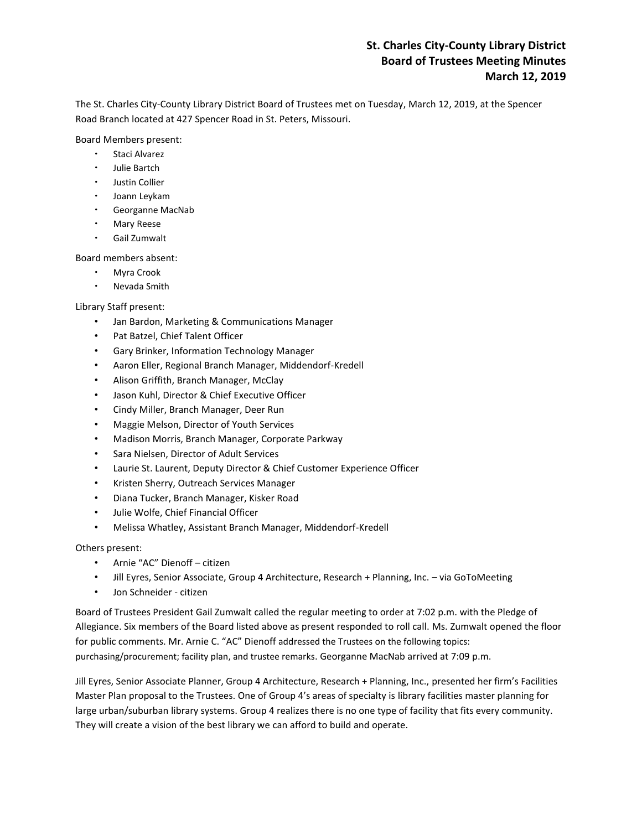# **St. Charles City-County Library District Board of Trustees Meeting Minutes March 12, 2019**

The St. Charles City-County Library District Board of Trustees met on Tuesday, March 12, 2019, at the Spencer Road Branch located at 427 Spencer Road in St. Peters, Missouri.

Board Members present:

- Staci Alvarez
- Julie Bartch
- Justin Collier
- Joann Leykam
- Georganne MacNab
- Mary Reese
- Gail Zumwalt

Board members absent:

- Myra Crook
- Nevada Smith

Library Staff present:

- Jan Bardon, Marketing & Communications Manager
- Pat Batzel, Chief Talent Officer
- Gary Brinker, Information Technology Manager
- Aaron Eller, Regional Branch Manager, Middendorf-Kredell
- Alison Griffith, Branch Manager, McClay
- Jason Kuhl, Director & Chief Executive Officer
- Cindy Miller, Branch Manager, Deer Run
- Maggie Melson, Director of Youth Services
- Madison Morris, Branch Manager, Corporate Parkway
- Sara Nielsen, Director of Adult Services
- Laurie St. Laurent, Deputy Director & Chief Customer Experience Officer
- Kristen Sherry, Outreach Services Manager
- Diana Tucker, Branch Manager, Kisker Road
- Julie Wolfe, Chief Financial Officer
- Melissa Whatley, Assistant Branch Manager, Middendorf-Kredell

# Others present:

- Arnie "AC" Dienoff citizen
- Jill Eyres, Senior Associate, Group 4 Architecture, Research + Planning, Inc. via GoToMeeting
- Jon Schneider citizen

Board of Trustees President Gail Zumwalt called the regular meeting to order at 7:02 p.m. with the Pledge of Allegiance. Six members of the Board listed above as present responded to roll call. Ms. Zumwalt opened the floor for public comments. Mr. Arnie C. "AC" Dienoff addressed the Trustees on the following topics: purchasing/procurement; facility plan, and trustee remarks. Georganne MacNab arrived at 7:09 p.m.

Jill Eyres, Senior Associate Planner, Group 4 Architecture, Research + Planning, Inc., presented her firm's Facilities Master Plan proposal to the Trustees. One of Group 4's areas of specialty is library facilities master planning for large urban/suburban library systems. Group 4 realizes there is no one type of facility that fits every community. They will create a vision of the best library we can afford to build and operate.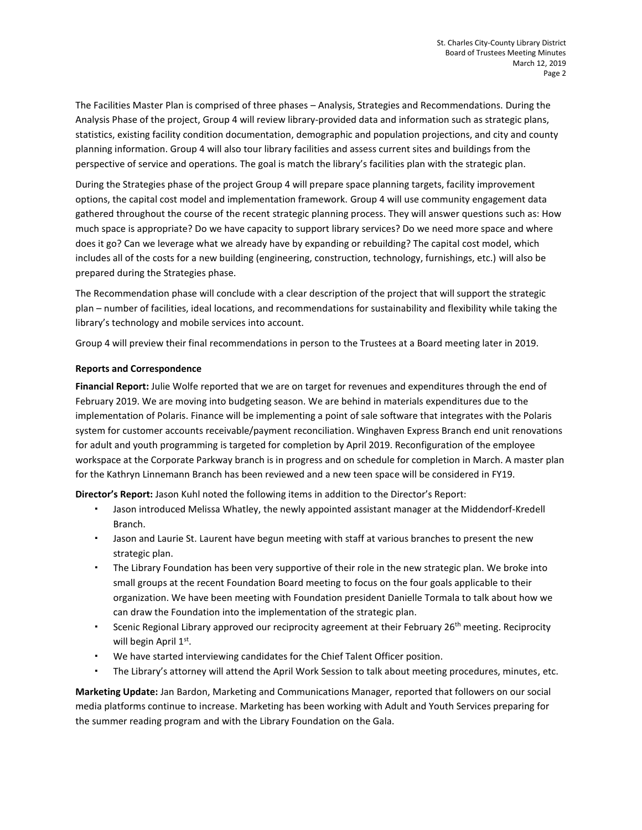The Facilities Master Plan is comprised of three phases – Analysis, Strategies and Recommendations. During the Analysis Phase of the project, Group 4 will review library-provided data and information such as strategic plans, statistics, existing facility condition documentation, demographic and population projections, and city and county planning information. Group 4 will also tour library facilities and assess current sites and buildings from the perspective of service and operations. The goal is match the library's facilities plan with the strategic plan.

During the Strategies phase of the project Group 4 will prepare space planning targets, facility improvement options, the capital cost model and implementation framework. Group 4 will use community engagement data gathered throughout the course of the recent strategic planning process. They will answer questions such as: How much space is appropriate? Do we have capacity to support library services? Do we need more space and where does it go? Can we leverage what we already have by expanding or rebuilding? The capital cost model, which includes all of the costs for a new building (engineering, construction, technology, furnishings, etc.) will also be prepared during the Strategies phase.

The Recommendation phase will conclude with a clear description of the project that will support the strategic plan – number of facilities, ideal locations, and recommendations for sustainability and flexibility while taking the library's technology and mobile services into account.

Group 4 will preview their final recommendations in person to the Trustees at a Board meeting later in 2019.

## **Reports and Correspondence**

**Financial Report:** Julie Wolfe reported that we are on target for revenues and expenditures through the end of February 2019. We are moving into budgeting season. We are behind in materials expenditures due to the implementation of Polaris. Finance will be implementing a point of sale software that integrates with the Polaris system for customer accounts receivable/payment reconciliation. Winghaven Express Branch end unit renovations for adult and youth programming is targeted for completion by April 2019. Reconfiguration of the employee workspace at the Corporate Parkway branch is in progress and on schedule for completion in March. A master plan for the Kathryn Linnemann Branch has been reviewed and a new teen space will be considered in FY19.

**Director's Report:** Jason Kuhl noted the following items in addition to the Director's Report:

- Jason introduced Melissa Whatley, the newly appointed assistant manager at the Middendorf-Kredell Branch.
- Jason and Laurie St. Laurent have begun meeting with staff at various branches to present the new strategic plan.
- The Library Foundation has been very supportive of their role in the new strategic plan. We broke into small groups at the recent Foundation Board meeting to focus on the four goals applicable to their organization. We have been meeting with Foundation president Danielle Tormala to talk about how we can draw the Foundation into the implementation of the strategic plan.
- \* Scenic Regional Library approved our reciprocity agreement at their February 26<sup>th</sup> meeting. Reciprocity will begin April  $1^\text{st}$ .
- We have started interviewing candidates for the Chief Talent Officer position.
- The Library's attorney will attend the April Work Session to talk about meeting procedures, minutes, etc.

**Marketing Update:** Jan Bardon, Marketing and Communications Manager, reported that followers on our social media platforms continue to increase. Marketing has been working with Adult and Youth Services preparing for the summer reading program and with the Library Foundation on the Gala.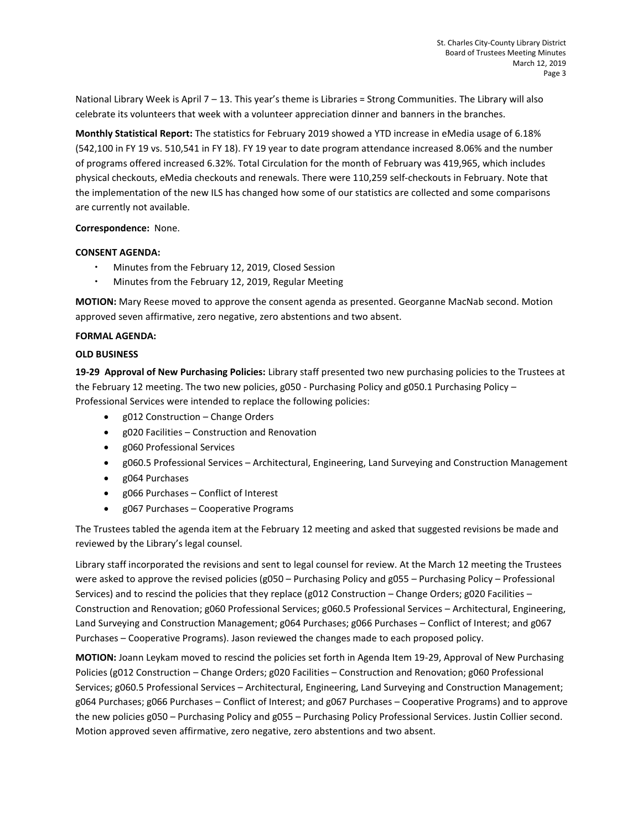National Library Week is April 7 – 13. This year's theme is Libraries = Strong Communities. The Library will also celebrate its volunteers that week with a volunteer appreciation dinner and banners in the branches.

**Monthly Statistical Report:** The statistics for February 2019 showed a YTD increase in eMedia usage of 6.18% (542,100 in FY 19 vs. 510,541 in FY 18). FY 19 year to date program attendance increased 8.06% and the number of programs offered increased 6.32%. Total Circulation for the month of February was 419,965, which includes physical checkouts, eMedia checkouts and renewals. There were 110,259 self-checkouts in February. Note that the implementation of the new ILS has changed how some of our statistics are collected and some comparisons are currently not available.

**Correspondence:** None.

### **CONSENT AGENDA:**

- Minutes from the February 12, 2019, Closed Session
- Minutes from the February 12, 2019, Regular Meeting

**MOTION:** Mary Reese moved to approve the consent agenda as presented. Georganne MacNab second. Motion approved seven affirmative, zero negative, zero abstentions and two absent.

### **FORMAL AGENDA:**

#### **OLD BUSINESS**

**19-29 Approval of New Purchasing Policies:** Library staff presented two new purchasing policies to the Trustees at the February 12 meeting. The two new policies, g050 - Purchasing Policy and g050.1 Purchasing Policy – Professional Services were intended to replace the following policies:

- g012 Construction Change Orders
- g020 Facilities Construction and Renovation
- g060 Professional Services
- g060.5 Professional Services Architectural, Engineering, Land Surveying and Construction Management
- g064 Purchases
- g066 Purchases Conflict of Interest
- g067 Purchases Cooperative Programs

The Trustees tabled the agenda item at the February 12 meeting and asked that suggested revisions be made and reviewed by the Library's legal counsel.

Library staff incorporated the revisions and sent to legal counsel for review. At the March 12 meeting the Trustees were asked to approve the revised policies (g050 – Purchasing Policy and g055 – Purchasing Policy – Professional Services) and to rescind the policies that they replace (g012 Construction – Change Orders; g020 Facilities – Construction and Renovation; g060 Professional Services; g060.5 Professional Services – Architectural, Engineering, Land Surveying and Construction Management; g064 Purchases; g066 Purchases – Conflict of Interest; and g067 Purchases – Cooperative Programs). Jason reviewed the changes made to each proposed policy.

**MOTION:** Joann Leykam moved to rescind the policies set forth in Agenda Item 19-29, Approval of New Purchasing Policies (g012 Construction – Change Orders; g020 Facilities – Construction and Renovation; g060 Professional Services; g060.5 Professional Services – Architectural, Engineering, Land Surveying and Construction Management; g064 Purchases; g066 Purchases – Conflict of Interest; and g067 Purchases – Cooperative Programs) and to approve the new policies g050 – Purchasing Policy and g055 – Purchasing Policy Professional Services. Justin Collier second. Motion approved seven affirmative, zero negative, zero abstentions and two absent.